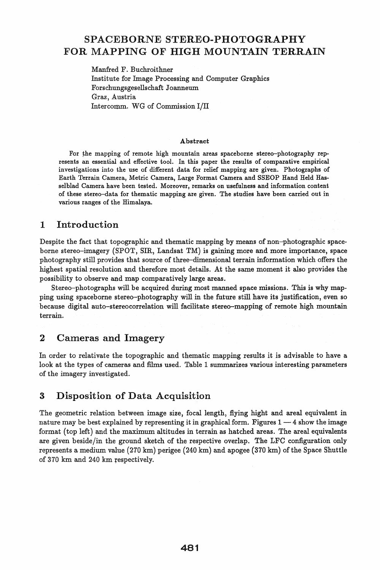# SPACEBORNE STEREO-PHOTOGRAPHY FOR MAPPING OF HIGH MOUNTAIN TERRAIN

Manfred F. Buchroithner Institute for Image Processing and Computer Graphics Forschungsgesellschaft Joanneum Graz, Austria Intercomm. WG of Commission I/II

#### Abstract

For the mapping of remote high mountain areas spaceborne stereo-photography represents an essential and effective tool. In this paper the results of comparative empirical investigations into the use of different data for relief mapping are given. Photographs of Earth Terrain Camera, Metric Camera, Large Format Camera and SSEOP Hand Held Hasselblad Camera have been tested. Moreover, remarks on usefulness and information content of these stereo-data for thematic mapping are given. The studies have been carried out in various ranges of the Himalaya.

### 1 Introduction

Despite the fact that topographic and thematic mapping by means of non-photographic spaceborne stereo-imagery (SPOT, SIR, Landsat TM) is gaining more and more importance, space photography still provides that source of three-dimensional terrain information which offers the highest spatial resolution and therefore most details. At the same moment it also provides the possibility to observe and map comparatively large areas.

Stereo-photographs will be acquired during most manned space missions. This is why mapping using spaceborne stereo-photography will in the future still have its justification, even so because digital auto-stereo correlation will facilitate stereo-mapping of remote high mountain terrain.

#### 2 Cameras and Imagery

In order to relativate the topographic and thematic mapping results it is advisable to have a look at the types of cameras and films used. Table 1 summarizes various interesting parameters of the imagery investigated.

### 3 Disposition of Data Acquisition

The geometric relation between image size, focal length, flying hight and areal equivalent in nature may be best explained by representing it in graphical form. Figures  $1 - 4$  show the image format (top left) and the maximum altitudes in terrain as hatched areas. The areal equivalents are given beside/in the ground sketch of the respective overlap. The LFC configuration only represents a medium value (270 km) perigee (240 km) and apogee (370 km) of the Space Shuttle of 370 km and 240 km respectively.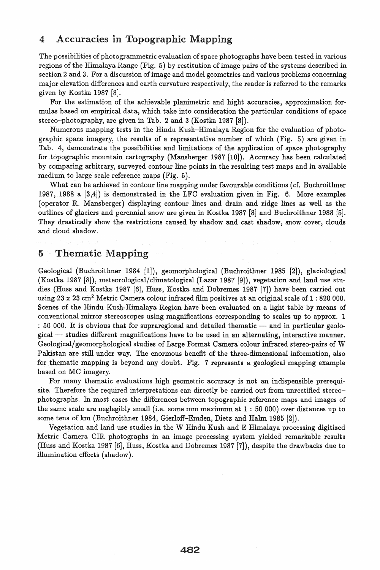## 4 Accuracies in Topographic Mapping

The possibilities of photogrammetric evaluation of space photographs have been tested in various regions of the Himalaya Range (Fig. 5) by restitution of image pairs of the systems described in section 2 and 3. For a discussion of image and model geometries and various problems concerning major elevation differences and earth curvature respectively, the reader is referred to the remarks given by Kostka 1987 [8].

For the estimation of the achievable planimetric and hight accuracies, approximation formulas based on empirical data, which take into consideration the particular conditions of space stereo-photography, are given in Tab. 2 and 3 (Kostka 1987 [8]).

Numerous mapping tests in the Hindu Kush-Himalaya Region for the evaluation of photographic space imagery, the results of a representative number of which (Fig. 5) are given in Tab. 4, demonstrate the possibilities and limitations of the application of space photography for topographic mountain cartography (Mansberger 1987 [10]). Accuracy has been calculated by comparing arbitrary, surveyed contour line points in the resulting test maps and in available medium to large scale reference maps (Fig. 5).

What can be achieved in contour line mapping under favourable conditions (cf. Buchroithner 1987, 1988 a [3,4]) is demonstrated in the LFC evaluation given in Fig. 6. More examples (operator R. Mansberger) displaying contour lines and drain and ridge lines as well as the outlines of glaciers and perennial snow are given in Kostka 1987 [8] and Buchroithner 1988 [5]. They drastically show the restrictions caused by shadow and cast shadow, snow cover, clouds and cloud shadow.

# 5 Thematic Mapping

Geological (Buchroithner 1984 [1]), geomorphological (Buchroithner 1985 [2]), glaciological (Kostka 1987 [8]), meteorological/climatological (Lazar 1987 [9]), vegetation and land use studies (Huss and Kostka 1987 [6], Huss, Kostka and Dobremez 1987 [7]) have been carried out using 23 x 23 cm<sup>2</sup> Metric Camera colour infrared film positives at an original scale of 1 : 820 000. Scenes of the Hindu Kush-Himalaya Region have been evaluated on a light table by means of conventional mirror stereoscopes using magnifications corresponding to scales up to approx. 1  $: 50,000$ . It is obvious that for supraregional and detailed thematic  $-$  and in particular geolo- $\beta$  gical  $-$  studies different magnifications have to be used in an alternating, interactive manner. Geological/ geomorphological studies of Large Format Camera colour infrared stereo-pairs of W Pakistan are still under way. The enormous benefit of the three-dimensional information, also for thematic mapping is beyond any doubt. Fig. 7 represents a geological mapping example based on MC imagery.

For many thematic evaluations high geometric accuracy is not an indispensible prerequisite. Therefore the required interpretations can directly be carried out from unrectified stereophotographs. In most cases the differences between topographic reference maps and images of the same scale are neglegibly small (i.e. some mm maximum at  $1:50000$ ) over distances up to some tens of km (Buchroithner 1984, Gierloff-Emden, Dietz and Halm 1985 [2]).

Vegetation and land use studies in the W Hindu Kush and E Himalaya processing digitized Metric Camera CIR photographs in an image processing system yielded remarkable results (Huss and Kostka 1987 [6], Huss, Kostka and Dobremez 1987 [7]), despite the drawbacks due to illumination effects (shadow).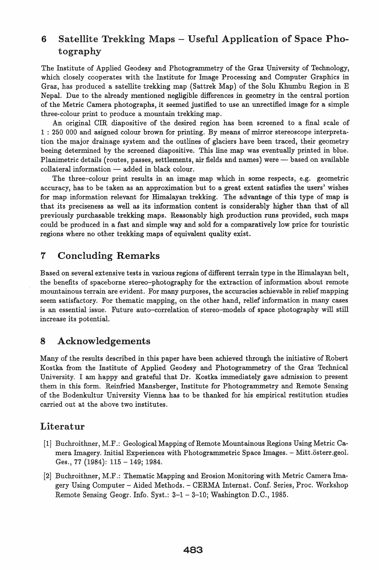# 6 Satellite Trekking Maps – Useful Application of Space Photography

The Institute of Applied Geodesy and Photogrammetry of the Graz University of Technology, which closely cooperates with the Institute for Image Processing and Computer Graphics in Graz, has produced a satellite trekking map (Sattrek Map) of the Solu Khumbu Region in E Nepal. Due to the already mentioned negligible differences in geometry in the central portion of the Metric Camera photographs, it seemed justified to use an unrectified image for a simple three-colour print to produce a mountain trekking map.

An original CIR diapositive of the desired region has been screened to a final scale of 1 : 250 000 and asigned colour brown for printing. By means of mirror stereoscope interpretation the major drainage system and the outlines of glaciers have been traced, their geometry beeing determined by the screened diapositive. This line map was eventually printed in blue. Planimetric details (routes, passes, settlements, air fields and names) were — based on available  $collateral information - added in black colour.$ 

The three-colour print results in an image map which in some respects, e.g. geometric accuracy, has to be taken as an approximation but to a great extent satisfies the users' wishes for map information relevant for Himalayan trekking. The advantage of this type of map is that its preciseness as well as its information content is considerably higher than that of all previously purchasable trekking maps. Reasonably high production runs provided, such maps could be produced in a fast and simple way and sold for a comparatively low price for touristic regions where no other trekking maps of equivalent quality exist.

# 7 Concluding Remarks

Based on several extensive tests in various regions of different terrain type in the Himalayan belt, the benefits of spaceborne stereo-photography for the extraction of information about remote mountainous terrain are evident. For many purposes, the accuracies achievable in relief mapping seem satisfactory. For thematic mapping, on the other hand, relief information in many cases is an essential issue. Future auto-correlation of stereo-models of space photography will still increase its potential.

## 8 Acknowledgements

Many of the results described in this paper have been achieved through the initiative of Robert Kostka from the Institute of Applied Geodesy and Photogrammetry of the Graz Technical University. I am happy and grateful that Dr. Kostka immediately gave admission to present them in this form. Reinfried Mansberger, Institute for Photogrammetry and Remote Sensing of the Bodenkultur University Vienna has to be thanked for his empirical restitution studies carried out at the above two institutes.

# Literatur

- [1] Buchroithner, M.F.: Geological Mapping of Remote Mountainous Regions Using Metric Camera Imagery. Initial Experiences with Photogrammetric Space Images. - Mitt.österr.geol. Ges., 77 (1984): 115 - 149; 1984.
- [2] Buchroithner, M.F.: Thematic Mapping and Erosion Monitoring with Metric Camera Imagery Using Computer - Aided Methods. - CERMA Internat. Conf. Series, Proc. Workshop Remote Sensing Geogr. Info. Syst.: 3-1 - 3-10; Washington D.C., 1985.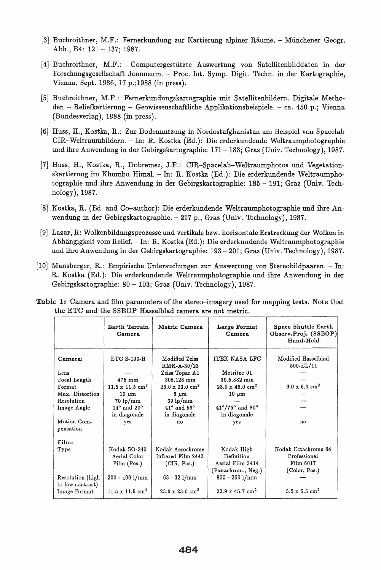- [3] Buchroithner, M.F.: Fernerkundung zur Kartierung alpiner Raume. Miinchener Geogr. Abh., B4: 121 - 137; 1987.
- [4J Buchroithner, M.F.: Computergestiitzte Auswertung von Satellitenbilddaten in der Forschungsgesellschaft Joanneum. - Proc. Int. Symp. Digit. Techn. in der Kartographie, Vienna, Sept. 1986, 17 p.j1988 (in press).
- [5] Buchroithner, M.F.: Fernerkundungskartographie mit Satellitenbildern. Digitale Methoden - Reliefkartierung - Geowissenschaftliche Applikationsbeispiele. - ca. 450 p.; Vienna (Bundesverlag), 1988 (in press).
- [6] Huss, H., Kostka, R.: Zur Bodennutzung in Nordostafghanistan am Beispiel von Spacelab CIR-Weltraumbildern. - In: R. Kostka (Ed.): Die erderkundende Weltraumphotographie und ihre Anwendung in der Gebirgskartographie: 171-183; Graz (Univ. Technology), 1987.
- (7] Huss, H., Kostka, R., Dobremez, J.F.: CIR-Spacelab-Weltraumphotos und Vegetationskartierung im Khumbu Himal. - In: R. Kostka (Ed.): Die erderkundende Weltraumphotographie und ihre Anwendung in der Gebirgskartographie: 185 - 191; Graz (Univ. Technology),1987.
- [8] Kostka, R. (Ed. and Co-author): Die erderkundende Weltraumphotographie und ihre Anwendung in der Gebirgskartographie. - 217 p., Graz (Univ. Technology), 1987.
- [9] Lazar, R: Wolkenbildungsprozesse und vertikale bzw. horizontale Erstreckung der Wolken in Abhangigkeit yom Relief. - In: R. Kostka (Ed.): Die erderkundende Weltraumphotographie und ihre Anwendung in der Gebirgskartographie: 193 - 201; Graz (Univ. Technology), 1987.
- [10] Mansberger, R.: Empirische Untersuchungen zur Auswertung von Stereobildpaaren. In: R. Kostka (Ed.): Die erderkundende Weltraumphotographie und ihre Anwendung in der Gebirgskartographie: 80 - 103; Graz (Univ. Technology), 1987.

| Table 1: Camera and film parameters of the stereo-imagery used for mapping tests. Note that |  |  |
|---------------------------------------------------------------------------------------------|--|--|
| the ETC and the SSEOP Hasselblad camera are not metric.                                     |  |  |

|                                                                                                          | Earth Terrain<br>Camera                                                                                                                                            | Metric Camera                                                                                                                                                                  | Large Format<br>Camera                                                                                                                        | Space Shuttle Earth<br>Observ.Proj. (SSEOP)<br>Hand-Held                |
|----------------------------------------------------------------------------------------------------------|--------------------------------------------------------------------------------------------------------------------------------------------------------------------|--------------------------------------------------------------------------------------------------------------------------------------------------------------------------------|-----------------------------------------------------------------------------------------------------------------------------------------------|-------------------------------------------------------------------------|
| Camera:<br>Lens<br>Focal Length<br>Format<br>Max. Distortion<br>Resolution<br>Image Angle<br>Motion Com- | <b>ETC S-190-B</b><br>$475$ mm<br>$11.5 \times 11.5$ cm <sup>2</sup><br>$10 \ \mu m$<br>$70 \text{ lp/mm}$<br>$14^{\circ}$ and $20^{\circ}$<br>in diagonale<br>yes | Modified Zeiss<br>RMK-A-30/23<br>Zeiss Topar A1<br>305.128 mm<br>$23.0 \times 23.0 \text{ cm}^2$<br>$6~\mu m$<br>$39 \text{ lp/mm}$<br>$41^o$ and $56^o$<br>in diagonale<br>no | ITEK NASA LFC<br>Metritec 01<br>30.5.882 mm<br>$23.0 \times 46.0 \text{ cm}^2$<br>$10 \mu m$<br>$41^o/75^o$ and $80^o$<br>in diagonale<br>yes | Modified Hasselblad<br>500-EL/11<br>$6.0 \times 6.0 \text{ cm}^2$<br>no |
| pensation                                                                                                |                                                                                                                                                                    |                                                                                                                                                                                |                                                                                                                                               |                                                                         |
| Film:<br>Type                                                                                            | Kodak SO-242<br>Aerial Color<br>Film $(Pos.)$                                                                                                                      | Kodak Aerochrome<br>Infrared Film 2443<br>(CIR, Pos.)                                                                                                                          | Kodak High<br>Definition<br>Aerial Film 3414<br>(Panachrom., Neg.)                                                                            | Kodak Ectachrome 64<br>Professional<br>Film 6017<br>(Color, Pos.)       |
| Resolution (high<br>to low contrast)<br>Image Format                                                     | $200 - 100$ l/mm<br>$11.5 \times 11.5 \text{ cm}^2$                                                                                                                | $63 - 32$ $1/mm$<br>$23.0 \times 23.0 \text{ cm}^2$                                                                                                                            | $800 - 250$ l/mm<br>$22.9 \times 45.7$ cm <sup>2</sup>                                                                                        | $5.5 \times 5.5$ cm <sup>2</sup>                                        |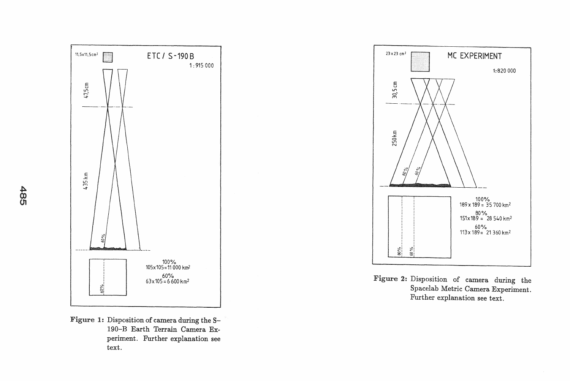

 $\frac{4}{9}$ 





Figure 2: Disposition of camera during the Spacelab Metric Camera Experiment. Further explanation see text.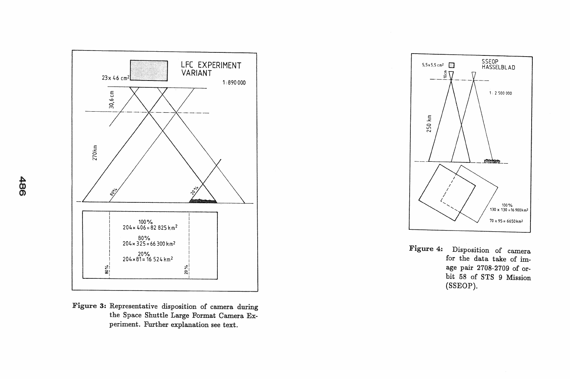

Figure 3: Representative disposition of camera during the Space Shuttle Large Format Camera Experiment. Further explanation see text.



Figure 4: Disposition of camera for the data take of image pair 2708-2709 of orbit 58 of STS 9 Mission (SSEOP).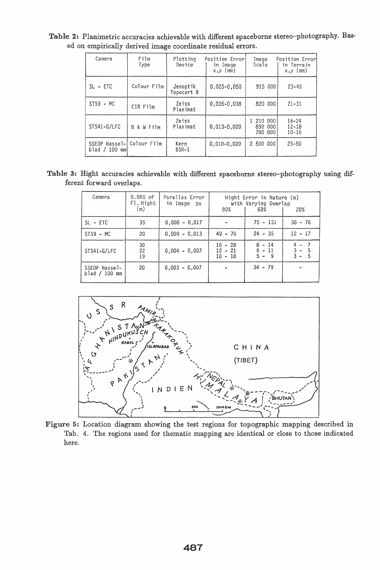| Camera                              | Film<br>Type      | Plotting<br>Device     | Position Error<br>in Image<br>$x, y \text{ (mm)}$ | Image<br>Scale                           | Position Error<br>in Terrain<br>$x, y \text{ (mm)}$ |  |
|-------------------------------------|-------------------|------------------------|---------------------------------------------------|------------------------------------------|-----------------------------------------------------|--|
| $SL - ETC$                          | Colour Film       | Jenoptik<br>Topocart B | $0,025 - 0,050$                                   | 915 000                                  | $23 - 46$                                           |  |
| $STS9 - MC$                         | CIR Film          | Zeiss<br>Planimat      | $0.026 - 0.038$                                   | 820 000                                  | $21 - 31$                                           |  |
| STS41-G/LFC                         | B.<br>W Film<br>& | Zeiss<br>Planimat      | $0.013 - 0.020$                                   | 1 210<br>000<br>890<br>000<br>000<br>780 | $16 - 24$<br>$12 - 18$<br>$10 - 16$                 |  |
| Hassel-I<br>SSEOP<br>blad / 100 mml | Colour Film       | Kern<br>$DSR-1$        | $0.010 - 0.020$                                   | 2 500 000                                | $25 - 50$                                           |  |

Table 2: Planimetric accuracies achievable with different spaceborne stereo-photography. Based on empirically derived image coordinate residual errors.

Table 3: Hight accuracies achievable with different spaceborne stereo-photography using different forward overlaps.

| Camera                         | $0.08\%$ of<br>F1. Hight<br>(m) | Parallax Error<br>in Image px | with Varying Overlap<br>80%         | Hight Error in Nature (m)<br>20% |                                          |
|--------------------------------|---------------------------------|-------------------------------|-------------------------------------|----------------------------------|------------------------------------------|
| $SL - ETC$                     | 35                              | $0.008 - 0.017$               |                                     | $75 - 151$                       | $38 - 76$                                |
| $STS9 - MC$                    | 20                              | $0.009 - 0.013$               | $49 - 70$                           | $24 - 35$                        | $12 - 17$                                |
| STS41-G/LFC                    | 30<br>22<br>19                  | $0,004 - 0,007$               | $16 - 28$<br>$12 - 21$<br>$10 - 18$ | $8 - 14$<br>$6 - 11$<br>$5 - 9$  | $4 -$<br>7.<br>$3 -$<br>5<br>$3 -$<br>5. |
| SSEOP Hassel-<br>blad / 100 mm | 20                              | $0.003 - 0.007$               |                                     | $34 - 79$                        | $\mathbb{Z}^n$                           |



Figure 5: Location diagram showing the test regions for topographic mapping described in Tab. 4. The regions used for thematic mapping are identical or close to those indicated here.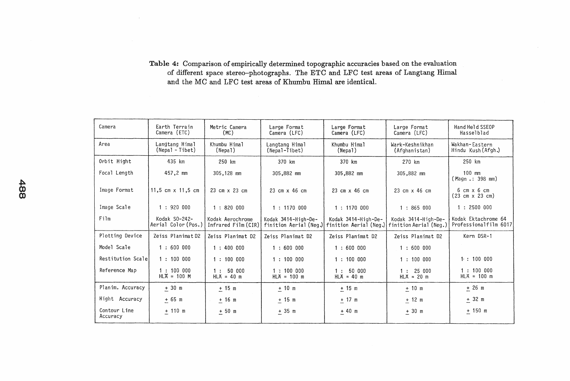#### Table 4: Comparison of empirically determined topographic accuracies based on the evaluation of different space stereo-photographs. The ETC and LFC test areas of Langtang Himal and the MC and LFC test areas of Khumbu Rimal are identical.

|               | Camera                   | Earth Terrain<br>Camera (ETC)        | Metric Camera<br>(MC)                   | Large Format<br>Camera (LFC)                  | Large Format<br>Camera (LFC)                  | Large Format<br>Camera (LFC)                  | Hand Held SSEOP<br>Hasselblad                                |
|---------------|--------------------------|--------------------------------------|-----------------------------------------|-----------------------------------------------|-----------------------------------------------|-----------------------------------------------|--------------------------------------------------------------|
|               | Area                     | Langtang Himal<br>(Nepal - Tibet)    | Khumbu Himal<br>(Nepal)                 | Langtang Himal<br>(Nepal-Tibet)               | Khumbu Himal<br>(Nepa)                        | Wark-Keshnikhan<br>(Afghanistan)              | Wakhan-Eastern<br>Hindu Kush (Afgh.)                         |
|               | Orbit Hight              | 435 km                               | 250 km                                  | 370 km                                        | 370 km                                        | 270 km                                        | 250 km                                                       |
|               | Focal Length             | 457,2 mm                             | 305,128 mm                              | 305,882 mm                                    | 305,882 mm                                    | 305,882 mm                                    | $100$ mm<br>(Magn .: 398 mm)                                 |
| $\frac{4}{8}$ | Image Format             | 11,5 cm $\times$ 11,5 cm             | 23 cm x 23 cm                           | 23 cm x 46 cm                                 | 23 cm x 46 cm                                 | 23 cm x 46 cm                                 | $6 \text{ cm} \times 6 \text{ cm}$<br>$(23 cm \times 23 cm)$ |
|               | Image Scale              | 1:920000                             | 1:820000                                | 1:1170000                                     | 1:1170000                                     | 1:865000                                      | 1:2500000                                                    |
|               | Film                     | Kodak S0-242-<br>Aerial Color (Pos.) | Kodak Aerochrome<br>Infrared Film (CIR) | Kodak 3414-High-De-<br>finition Aerial (Neq.) | Kodak 3414-High-De-<br>finition Aerial (Neg.) | Kodak 3414-High-De-<br>finition Aerial (Neq.) | Kodak Ektachrome 64<br>Professionalfilm 6017                 |
|               | Plotting Device          | Zeiss Planimat D2                    | Zeiss Planimat D2                       | Zeiss Planimat D2                             | Zeiss Planimat D2                             | Zeiss Planimat D2                             | Kern DSR-1                                                   |
|               | Model Scale              | 1:600000                             | 1:400000                                | 1:600000                                      | 1:600000                                      | 1:600000                                      |                                                              |
|               | Restitution Scale        | 1:100000                             | 1:100000                                | 1:100000                                      | 1:100000                                      | 1:100000                                      | 1:100000                                                     |
|               | Reference Map            | 1:100000<br>$HL\overline{A} = 100$ M | 1:5000<br>$HLX = 40 m$                  | 1:100000<br>$HLX = 100$ m                     | 1:50000<br>$HLX = 40$ m                       | 1:25000<br>$HLA = 20 m$                       | 1:100000<br>$HLA = 100$ m                                    |
|               | Planim. Accuracy         | $±$ 30 m                             | $+15$ m                                 | $±$ 10 m                                      | ± 15 m                                        | $+10$ m                                       | ± 26 m                                                       |
|               | Hight Accuracy           | ± 65 m                               | $± 16$ m                                | $+15$ m                                       | $+17$ m                                       | $±$ 12 m                                      | $\pm$ 32 m                                                   |
|               | Contour Line<br>Accuracy | $+ 110 m$                            | ± 50 m                                  | ± 35 m                                        | $+40$ m                                       | $+30$ m                                       | $+150$ m                                                     |
|               |                          |                                      |                                         |                                               |                                               |                                               |                                                              |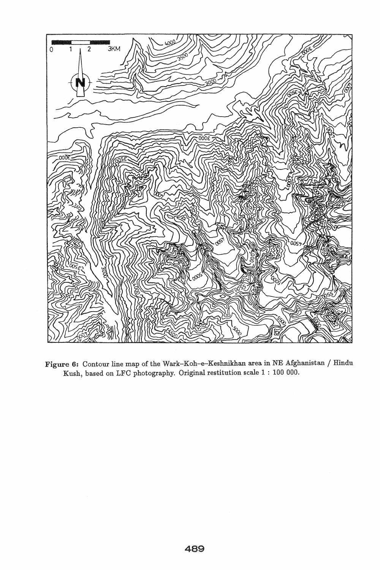

Figure 6: Contour line map of the Wark-Koh-e-Keshnikhan area in NE Afghanistan / Hindu Kush, based on LFC photography. Original restitution scale 1 : 100 000.